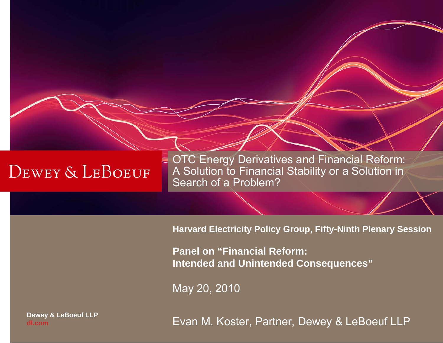**OTC Energy Derivatives and Financial Reform:** A Solution to Financial Stability or a Solution in Search of a Problem?

**Harvard Electricity Policy Group, Fifty-Ninth Plenary Session**

**Panel on "Financial Reform: Intended and Unintended Consequences"**

May 20, 2010

**Dewey & LeBoeuf LLP dl.com**

Evan M. Koster, Partner, Dewey & LeBoeuf LLP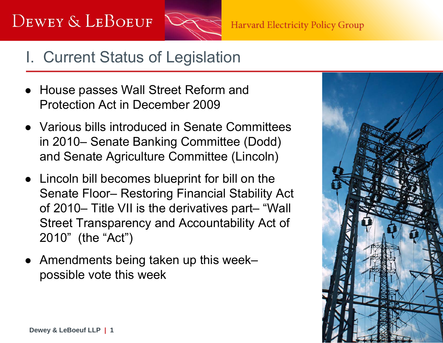

#### I. Current Status of Legislation

- House passes Wall Street Reform and Protection Act in December 2009
- Various bills introduced in Senate Committees in 2010– Senate Banking Committee (Dodd) and Senate Agriculture Committee (Lincoln)
- Lincoln bill becomes blueprint for bill on the Senate Floor– Restoring Financial Stability Act of 2010– Title VII is the derivatives part– "Wall Street Transparency and Accountability Act of 2010" (the "Act")
- Amendments being taken up this week– possible vote this week

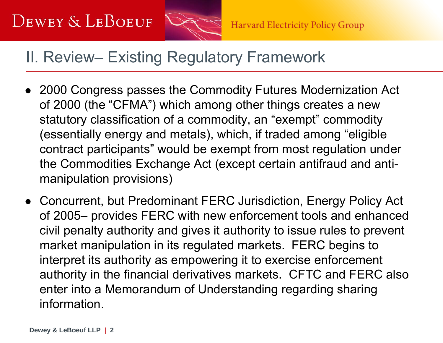

#### II. Review– Existing Regulatory Framework

- 2000 Congress passes the Commodity Futures Modernization Act of 2000 (the "CFMA") which among other things creates a new statutory classification of a commodity, an "exempt" commodity (essentially energy and metals), which, if traded among "eligible contract participants" would be exempt from most regulation under the Commodities Exchange Act (except certain antifraud and antimanipulation provisions)
- Concurrent, but Predominant FERC Jurisdiction, Energy Policy Act of 2005– provides FERC with new enforcement tools and enhanced civil penalty authority and gives it authority to issue rules to prevent market manipulation in its regulated markets. FERC begins to interpret its authority as empowering it to exercise enforcement authority in the financial derivatives markets. CFTC and FERC also enter into a Memorandum of Understanding regarding sharing information.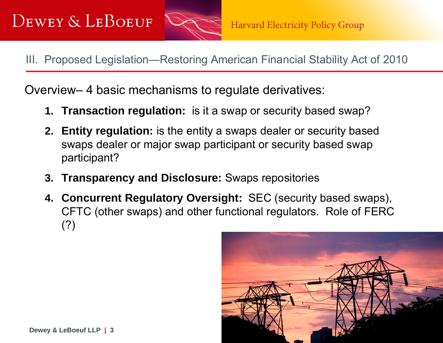

III. Proposed Legislation—Restoring American Financial Stability Act of 2010

Overview– 4 basic mechanisms to regulate derivatives:

- **1. Transaction regulation:** is it a swap or security based swap?
- **2. Entity regulation:** is the entity a swaps dealer or security based swaps dealer or major swap participant or security based swap participant?
- **3. Transparency and Disclosure:** Swaps repositories
- **4. Concurrent Regulatory Oversight:** SEC (security based swaps), CFTC (other swaps) and other functional regulators. Role of FERC (?)

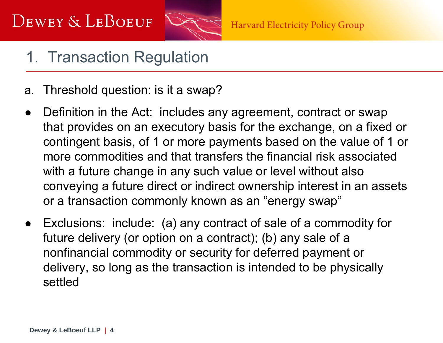

## 1. Transaction Regulation

- a. Threshold question: is it a swap?
- $\bullet$  Definition in the Act: includes any agreement, contract or swap that provides on an executory basis for the exchange, on a fixed or contingent basis, of 1 or more payments based on the value of 1 or more commodities and that transfers the financial risk associated with a future change in any such value or level without also conveying a future direct or indirect ownership interest in an assets or a transaction commonly known as an "energy swap"
- $\bullet$  Exclusions: include: (a) any contract of sale of a commodity for future delivery (or option on a contract); (b) any sale of a nonfinancial commodity or security for deferred payment or delivery, so long as the transaction is intended to be physically settled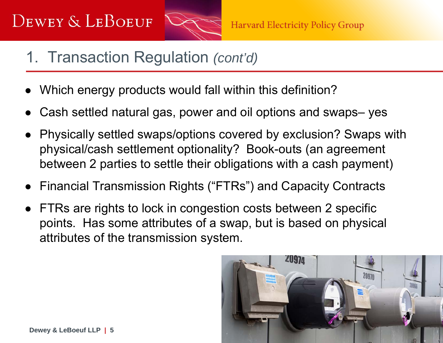

- 1. Transaction Regulation *(cont'd)*
- ●Which energy products would fall within this definition?
- ●Cash settled natural gas, power and oil options and swaps– yes
- Physically settled swaps/options covered by exclusion? Swaps with physical/cash settlement optionality? Book-outs (an agreement between 2 parties to settle their obligations with a cash payment)
- $\bullet$ Financial Transmission Rights ("FTRs") and Capacity Contracts
- $\bullet$  FTRs are rights to lock in congestion costs between 2 specific points. Has some attributes of a swap, but is based on physical attributes of the transmission system.

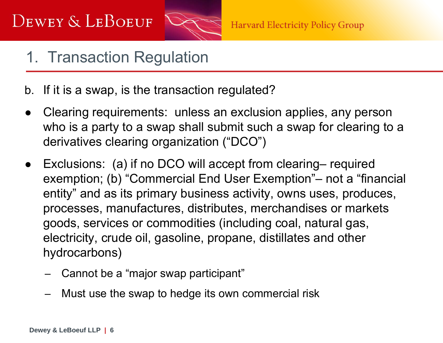

## 1. Transaction Regulation

b. If it is a swap, is the transaction regulated?

- $\bullet$  Clearing requirements: unless an exclusion applies, any person who is a party to a swap shall submit such a swap for clearing to a derivatives clearing organization ("DCO")
- $\bullet$  Exclusions: (a) if no DCO will accept from clearing– required exemption; (b) "Commercial End User Exemption"– not a "financial entity" and as its primary business activity, owns uses, produces, processes, manufactures, distributes, merchandises or markets goods, services or commodities (including coal, natural gas, electricity, crude oil, gasoline, propane, distillates and other hydrocarbons)
	- Cannot be a "major swap participant"
	- Must use the swap to hedge its own commercial risk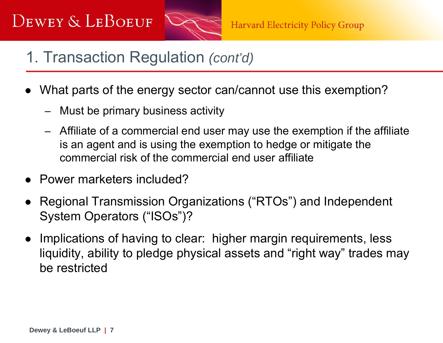

- 1. Transaction Regulation *(cont'd)*
- ● What parts of the energy sector can/cannot use this exemption?
	- Must be primary business activity
	- Affiliate of a commercial end user may use the exemption if the affiliate is an agent and is using the exemption to hedge or mitigate the commercial risk of the commercial end user affiliate
- ●Power marketers included?
- ● Regional Transmission Organizations ("RTOs") and Independent System Operators ("ISOs")?
- $\bullet$  Implications of having to clear: higher margin requirements, less liquidity, ability to pledge physical assets and "right way" trades may be restricted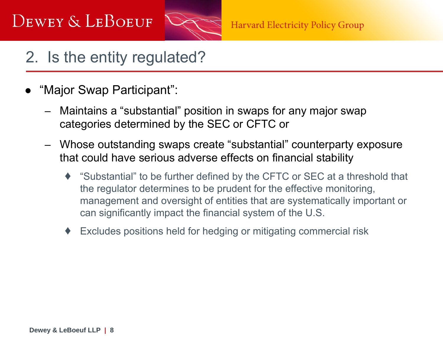

#### 2. Is the entity regulated?

- ● "Major Swap Participant":
	- – Maintains a "substantial" position in swaps for any major swap categories determined by the SEC or CFTC or
	- Whose outstanding swaps create "substantial" counterparty exposure that could have serious adverse effects on financial stability
		- ♦ "Substantial" to be further defined by the CFTC or SEC at a threshold that the regulator determines to be prudent for the effective monitoring, management and oversight of entities that are systematically important or can significantly impact the financial system of the U.S.
		- ♦Excludes positions held for hedging or mitigating commercial risk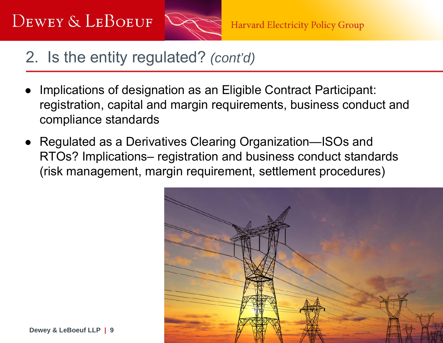

#### 2. Is the entity regulated? *(cont'd)*

- ● Implications of designation as an Eligible Contract Participant: registration, capital and margin requirements, business conduct and compliance standards
- ● Regulated as a Derivatives Clearing Organization—ISOs and RTOs? Implications– registration and business conduct standards (risk management, margin requirement, settlement procedures)

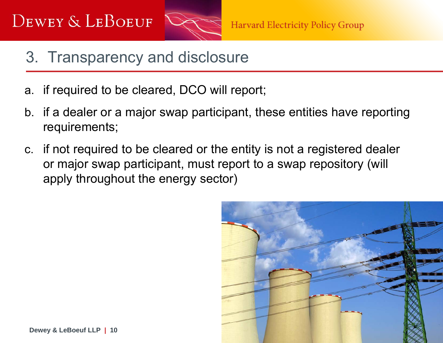

- 3. Transparency and disclosure
- a. if required to be cleared, DCO will report;
- b. if a dealer or a major swap participant, these entities have reporting requirements;
- c. if not required to be cleared or the entity is not a registered dealer or major swap participant, must report to a swap repository (will apply throughout the energy sector)

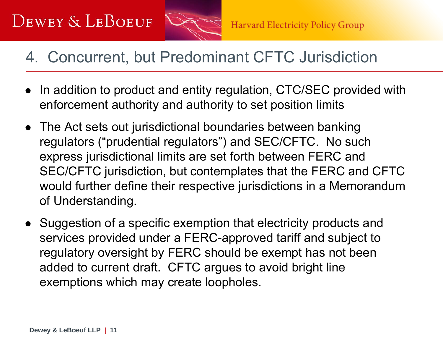

#### 4. Concurrent, but Predominant CFTC Jurisdiction

- $\bullet$  In addition to product and entity regulation, CTC/SEC provided with enforcement authority and authority to set position limits
- The Act sets out jurisdictional boundaries between banking regulators ("prudential regulators") and SEC/CFTC. No such express jurisdictional limits are set forth between FERC and SEC/CFTC jurisdiction, but contemplates that the FERC and CFTC would further define their respective jurisdictions in a Memorandum of Understanding.
- Suggestion of a specific exemption that electricity products and services provided under a FERC-approved tariff and subject to regulatory oversight by FERC should be exempt has not been added to current draft. CFTC argues to avoid bright line exemptions which may create loopholes.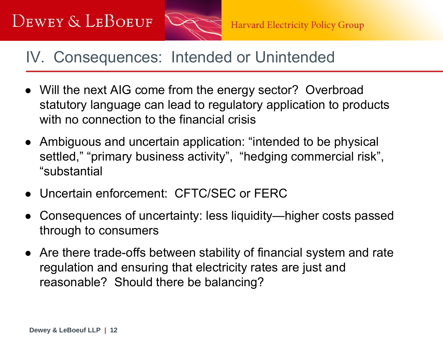

#### IV. Consequences: Intended or Unintended

- Will the next AIG come from the energy sector? Overbroad statutory language can lead to regulatory application to products with no connection to the financial crisis
- Ambiguous and uncertain application: "intended to be physical settled," "primary business activity", "hedging commercial risk", "substantial
- Uncertain enforcement: CFTC/SEC or FERC
- ● Consequences of uncertainty: less liquidity—higher costs passed through to consumers
- Are there trade-offs between stability of financial system and rate regulation and ensuring that electricity rates are just and reasonable? Should there be balancing?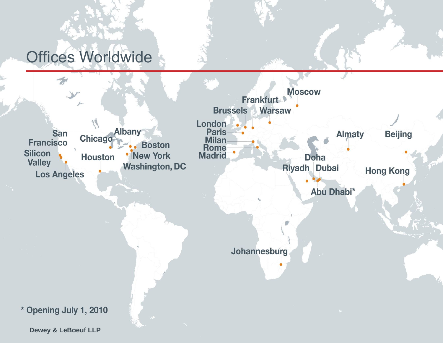## Offices Worldwide



**Dewey & LeBoeuf LLP**